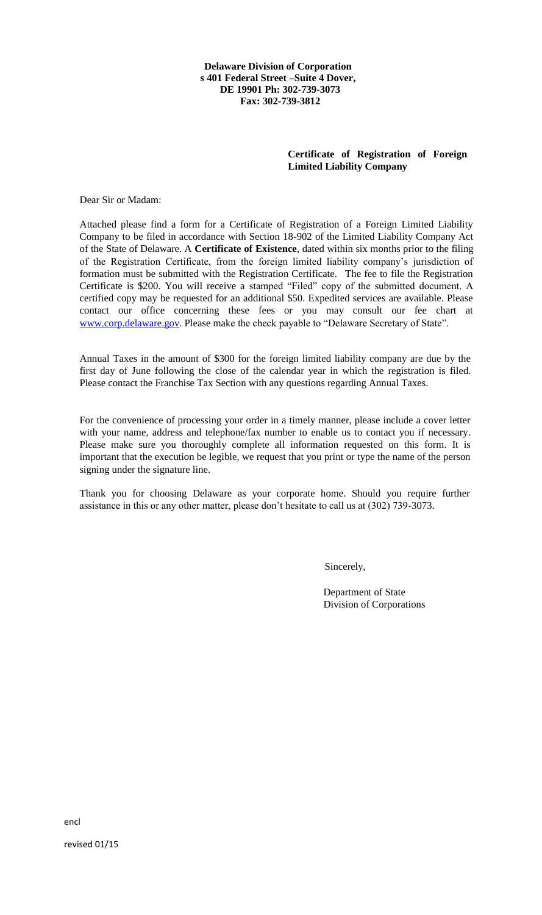**Delaware Division of Corporation s 401 Federal Street –Suite 4 Dover, DE 19901 Ph: 302-739-3073 Fax: 302-739-3812**

## **Certificate of Registration of Foreign Limited Liability Company**

Dear Sir or Madam:

Attached please find a form for a Certificate of Registration of a Foreign Limited Liability Company to be filed in accordance with Section 18-902 of the Limited Liability Company Act of the State of Delaware. A **Certificate of Existence**, dated within six months prior to the filing of the Registration Certificate, from the foreign limited liability company's jurisdiction of formation must be submitted with the Registration Certificate. The fee to file the Registration Certificate is \$200. You will receive a stamped "Filed" copy of the submitted document. A certified copy may be requested for an additional \$50. Expedited services are available. Please contact our office concerning these fees or you may consult our fee chart at www.corp.delaware.gov. Please make the check payable to "Delaware Secretary of State".

Annual Taxes in the amount of \$300 for the foreign limited liability company are due by the first day of June following the close of the calendar year in which the registration is filed. Please contact the Franchise Tax Section with any questions regarding Annual Taxes.

For the convenience of processing your order in a timely manner, please include a cover letter with your name, address and telephone/fax number to enable us to contact you if necessary. Please make sure you thoroughly complete all information requested on this form. It is important that the execution be legible, we request that you print or type the name of the person signing under the signature line.

Thank you for choosing Delaware as your corporate home. Should you require further assistance in this or any other matter, please don't hesitate to call us at (302) 739-3073.

Sincerely,

Department of State Division of Corporations

encl

revised 01/15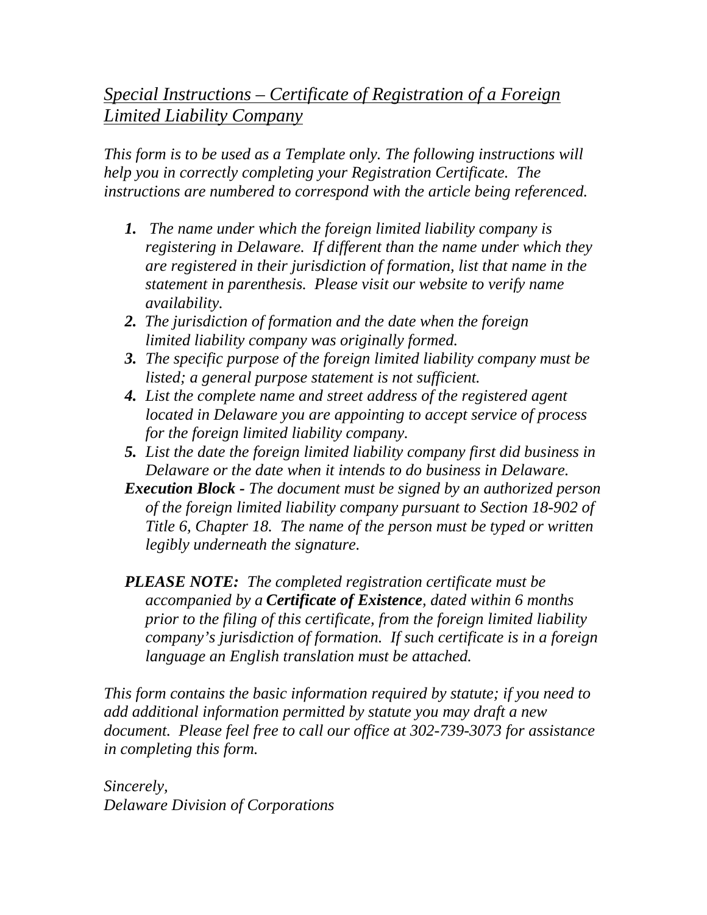## *Special Instructions – Certificate of Registration of a Foreign Limited Liability Company*

*This form is to be used as a Template only. The following instructions will help you in correctly completing your Registration Certificate. The instructions are numbered to correspond with the article being referenced.* 

- *1. The name under which the foreign limited liability company is registering in Delaware. If different than the name under which they are registered in their jurisdiction of formation, list that name in the statement in parenthesis. Please visit our website to verify name availability.*
- *2. The jurisdiction of formation and the date when the foreign limited liability company was originally formed.*
- *3. The specific purpose of the foreign limited liability company must be listed; a general purpose statement is not sufficient.*
- *4. List the complete name and street address of the registered agent located in Delaware you are appointing to accept service of process for the foreign limited liability company.*
- *5. List the date the foreign limited liability company first did business in Delaware or the date when it intends to do business in Delaware.*
- *Execution Block The document must be signed by an authorized person of the foreign limited liability company pursuant to Section 18-902 of Title 6, Chapter 18. The name of the person must be typed or written legibly underneath the signature.*
- *PLEASE NOTE: The completed registration certificate must be accompanied by a Certificate of Existence, dated within 6 months prior to the filing of this certificate, from the foreign limited liability company's jurisdiction of formation. If such certificate is in a foreign language an English translation must be attached.*

*This form contains the basic information required by statute; if you need to add additional information permitted by statute you may draft a new document. Please feel free to call our office at 302-739-3073 for assistance in completing this form.* 

*Sincerely, Delaware Division of Corporations*